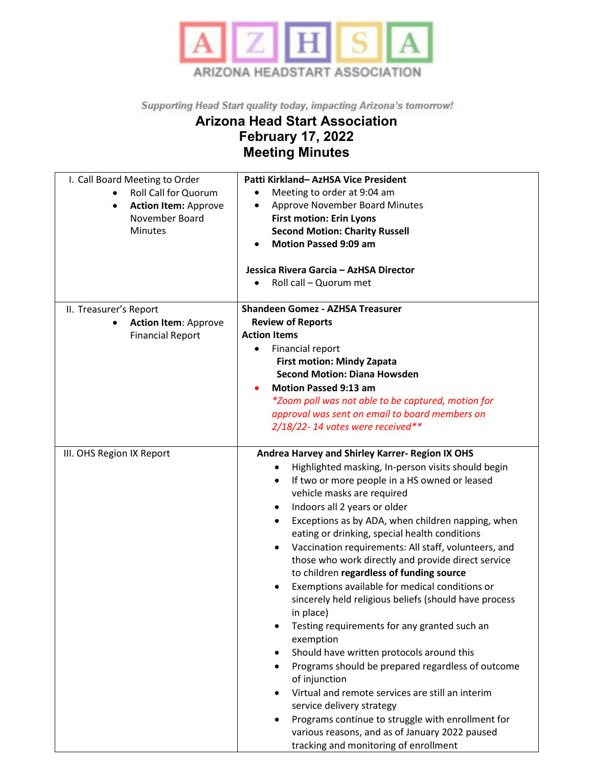

Supporting Head Start quality today, impacting Arizona's tomorrow!

## **Arizona Head Start Association February 17, 2022 Meeting Minutes**

| I. Call Board Meeting to Order<br><b>Roll Call for Quorum</b><br><b>Action Item: Approve</b><br>$\bullet$<br>November Board<br>Minutes | Patti Kirkland- AzHSA Vice President<br>Meeting to order at 9:04 am<br>$\bullet$<br><b>Approve November Board Minutes</b><br>٠<br><b>First motion: Erin Lyons</b><br><b>Second Motion: Charity Russell</b><br><b>Motion Passed 9:09 am</b><br>Jessica Rivera Garcia - AzHSA Director<br>Roll call - Quorum met                                                                                                                                                                                                                                                                                                                                                                                                                                                                                                                                                                                                                                                                                                                                                                              |
|----------------------------------------------------------------------------------------------------------------------------------------|---------------------------------------------------------------------------------------------------------------------------------------------------------------------------------------------------------------------------------------------------------------------------------------------------------------------------------------------------------------------------------------------------------------------------------------------------------------------------------------------------------------------------------------------------------------------------------------------------------------------------------------------------------------------------------------------------------------------------------------------------------------------------------------------------------------------------------------------------------------------------------------------------------------------------------------------------------------------------------------------------------------------------------------------------------------------------------------------|
| II. Treasurer's Report<br><b>Action Item: Approve</b><br><b>Financial Report</b>                                                       | <b>Shandeen Gomez - AZHSA Treasurer</b><br><b>Review of Reports</b><br><b>Action Items</b><br>Financial report<br><b>First motion: Mindy Zapata</b><br><b>Second Motion: Diana Howsden</b><br><b>Motion Passed 9:13 am</b><br>*Zoom poll was not able to be captured, motion for<br>approval was sent on email to board members on                                                                                                                                                                                                                                                                                                                                                                                                                                                                                                                                                                                                                                                                                                                                                          |
|                                                                                                                                        | $2/18/22$ -14 votes were received**                                                                                                                                                                                                                                                                                                                                                                                                                                                                                                                                                                                                                                                                                                                                                                                                                                                                                                                                                                                                                                                         |
| III. OHS Region IX Report                                                                                                              | Andrea Harvey and Shirley Karrer- Region IX OHS<br>Highlighted masking, In-person visits should begin<br>$\bullet$<br>If two or more people in a HS owned or leased<br>٠<br>vehicle masks are required<br>Indoors all 2 years or older<br>$\bullet$<br>Exceptions as by ADA, when children napping, when<br>eating or drinking, special health conditions<br>Vaccination requirements: All staff, volunteers, and<br>$\bullet$<br>those who work directly and provide direct service<br>to children regardless of funding source<br>Exemptions available for medical conditions or<br>sincerely held religious beliefs (should have process<br>in place)<br>Testing requirements for any granted such an<br>٠<br>exemption<br>Should have written protocols around this<br>Programs should be prepared regardless of outcome<br>of injunction<br>Virtual and remote services are still an interim<br>$\bullet$<br>service delivery strategy<br>Programs continue to struggle with enrollment for<br>various reasons, and as of January 2022 paused<br>tracking and monitoring of enrollment |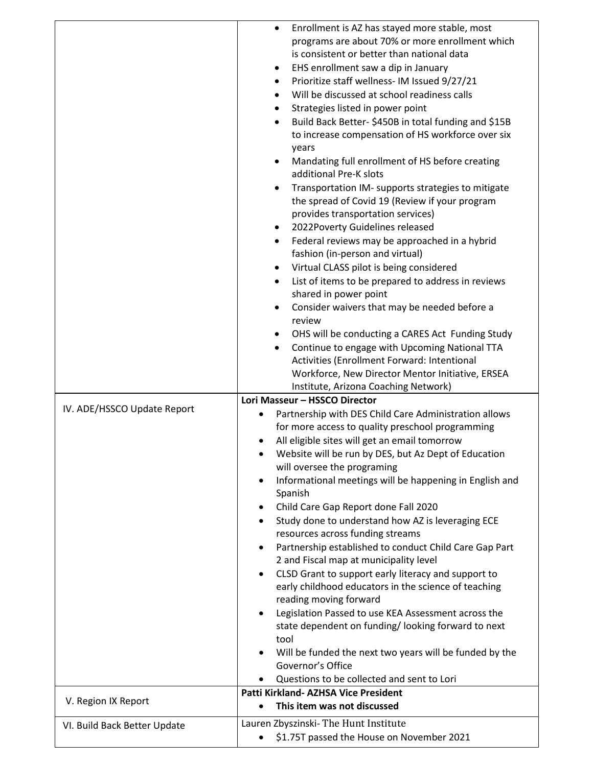|                                                     | Enrollment is AZ has stayed more stable, most<br>$\bullet$<br>programs are about 70% or more enrollment which<br>is consistent or better than national data<br>EHS enrollment saw a dip in January<br>٠<br>Prioritize staff wellness- IM Issued 9/27/21<br>٠<br>Will be discussed at school readiness calls<br>Strategies listed in power point<br>٠<br>Build Back Better- \$450B in total funding and \$15B<br>$\bullet$<br>to increase compensation of HS workforce over six<br>years<br>Mandating full enrollment of HS before creating<br>٠<br>additional Pre-K slots<br>Transportation IM- supports strategies to mitigate<br>the spread of Covid 19 (Review if your program<br>provides transportation services)<br>2022Poverty Guidelines released<br>٠<br>Federal reviews may be approached in a hybrid<br>٠<br>fashion (in-person and virtual)<br>Virtual CLASS pilot is being considered<br>List of items to be prepared to address in reviews<br>shared in power point<br>Consider waivers that may be needed before a<br>$\bullet$<br>review<br>OHS will be conducting a CARES Act Funding Study |
|-----------------------------------------------------|--------------------------------------------------------------------------------------------------------------------------------------------------------------------------------------------------------------------------------------------------------------------------------------------------------------------------------------------------------------------------------------------------------------------------------------------------------------------------------------------------------------------------------------------------------------------------------------------------------------------------------------------------------------------------------------------------------------------------------------------------------------------------------------------------------------------------------------------------------------------------------------------------------------------------------------------------------------------------------------------------------------------------------------------------------------------------------------------------------------|
|                                                     | Continue to engage with Upcoming National TTA<br>٠<br>Activities (Enrollment Forward: Intentional<br>Workforce, New Director Mentor Initiative, ERSEA<br>Institute, Arizona Coaching Network)                                                                                                                                                                                                                                                                                                                                                                                                                                                                                                                                                                                                                                                                                                                                                                                                                                                                                                                |
| IV. ADE/HSSCO Update Report                         | Lori Masseur - HSSCO Director<br>Partnership with DES Child Care Administration allows<br>٠<br>for more access to quality preschool programming<br>All eligible sites will get an email tomorrow<br>Website will be run by DES, but Az Dept of Education<br>will oversee the programing<br>Informational meetings will be happening in English and<br>$\bullet$<br>Spanish<br>Child Care Gap Report done Fall 2020<br>Study done to understand how AZ is leveraging ECE<br>$\bullet$<br>resources across funding streams<br>Partnership established to conduct Child Care Gap Part<br>2 and Fiscal map at municipality level<br>CLSD Grant to support early literacy and support to<br>$\bullet$<br>early childhood educators in the science of teaching<br>reading moving forward<br>Legislation Passed to use KEA Assessment across the<br>٠<br>state dependent on funding/looking forward to next<br>tool<br>Will be funded the next two years will be funded by the<br>Governor's Office<br>Questions to be collected and sent to Lori<br>Patti Kirkland- AZHSA Vice President                           |
| V. Region IX Report<br>VI. Build Back Better Update | This item was not discussed<br>$\bullet$<br>Lauren Zbyszinski-The Hunt Institute                                                                                                                                                                                                                                                                                                                                                                                                                                                                                                                                                                                                                                                                                                                                                                                                                                                                                                                                                                                                                             |
|                                                     | \$1.75T passed the House on November 2021                                                                                                                                                                                                                                                                                                                                                                                                                                                                                                                                                                                                                                                                                                                                                                                                                                                                                                                                                                                                                                                                    |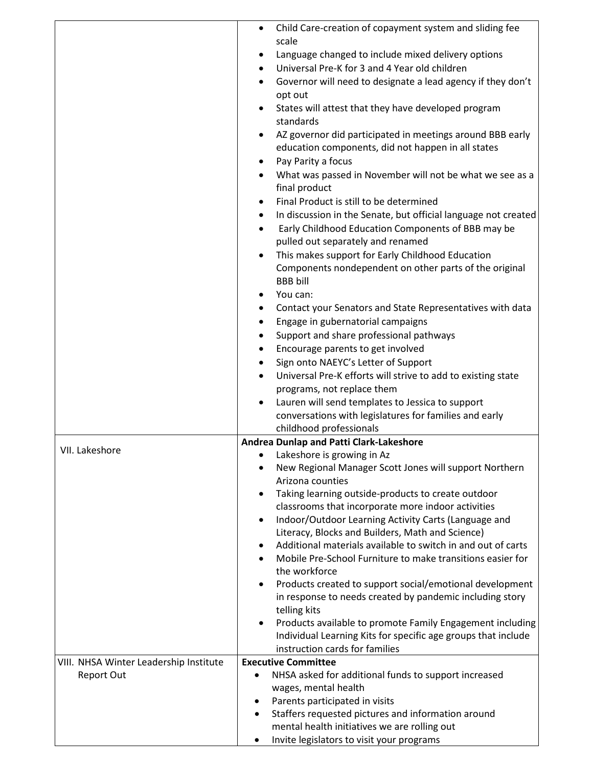|                                        | Child Care-creation of copayment system and sliding fee<br>$\bullet$                                    |
|----------------------------------------|---------------------------------------------------------------------------------------------------------|
|                                        | scale                                                                                                   |
|                                        | Language changed to include mixed delivery options                                                      |
|                                        | Universal Pre-K for 3 and 4 Year old children                                                           |
|                                        | Governor will need to designate a lead agency if they don't                                             |
|                                        | opt out                                                                                                 |
|                                        |                                                                                                         |
|                                        | States will attest that they have developed program<br>standards                                        |
|                                        |                                                                                                         |
|                                        | AZ governor did participated in meetings around BBB early                                               |
|                                        | education components, did not happen in all states                                                      |
|                                        | Pay Parity a focus                                                                                      |
|                                        | What was passed in November will not be what we see as a<br>final product                               |
|                                        | Final Product is still to be determined                                                                 |
|                                        | In discussion in the Senate, but official language not created                                          |
|                                        | Early Childhood Education Components of BBB may be                                                      |
|                                        | pulled out separately and renamed                                                                       |
|                                        | This makes support for Early Childhood Education                                                        |
|                                        | Components nondependent on other parts of the original                                                  |
|                                        | <b>BBB</b> bill                                                                                         |
|                                        | You can:                                                                                                |
|                                        | Contact your Senators and State Representatives with data                                               |
|                                        | Engage in gubernatorial campaigns                                                                       |
|                                        | Support and share professional pathways                                                                 |
|                                        | Encourage parents to get involved                                                                       |
|                                        | Sign onto NAEYC's Letter of Support                                                                     |
|                                        | Universal Pre-K efforts will strive to add to existing state                                            |
|                                        | programs, not replace them                                                                              |
|                                        | Lauren will send templates to Jessica to support                                                        |
|                                        | conversations with legislatures for families and early                                                  |
|                                        | childhood professionals                                                                                 |
| VII. Lakeshore                         | Andrea Dunlap and Patti Clark-Lakeshore                                                                 |
|                                        | Lakeshore is growing in Az<br>New Regional Manager Scott Jones will support Northern                    |
|                                        | Arizona counties                                                                                        |
|                                        | Taking learning outside-products to create outdoor                                                      |
|                                        | classrooms that incorporate more indoor activities                                                      |
|                                        | Indoor/Outdoor Learning Activity Carts (Language and<br>$\bullet$                                       |
|                                        | Literacy, Blocks and Builders, Math and Science)                                                        |
|                                        | Additional materials available to switch in and out of carts                                            |
|                                        | Mobile Pre-School Furniture to make transitions easier for                                              |
|                                        | the workforce                                                                                           |
|                                        | Products created to support social/emotional development                                                |
|                                        | in response to needs created by pandemic including story                                                |
|                                        | telling kits                                                                                            |
|                                        | Products available to promote Family Engagement including                                               |
|                                        | Individual Learning Kits for specific age groups that include                                           |
|                                        | instruction cards for families                                                                          |
| VIII. NHSA Winter Leadership Institute | <b>Executive Committee</b>                                                                              |
| Report Out                             | NHSA asked for additional funds to support increased<br>٠                                               |
|                                        | wages, mental health                                                                                    |
|                                        | Parents participated in visits<br>٠                                                                     |
|                                        | Staffers requested pictures and information around<br>٠<br>mental health initiatives we are rolling out |
|                                        | Invite legislators to visit your programs<br>٠                                                          |
|                                        |                                                                                                         |